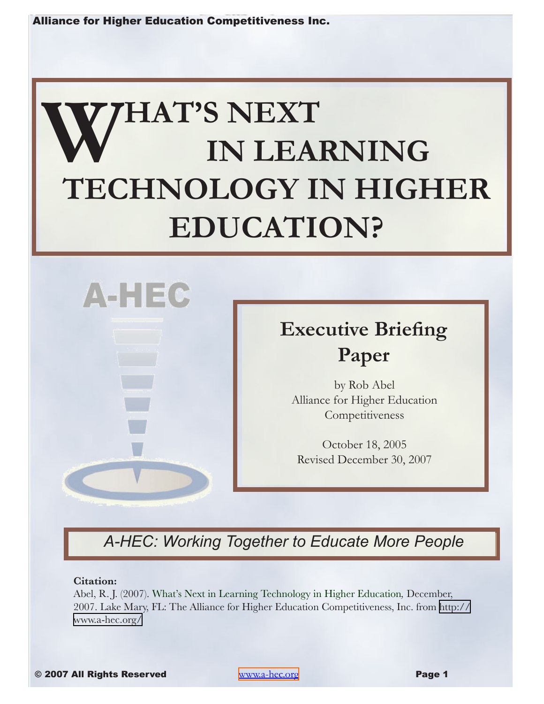# **WHAT'S NEXT IN LEARNING TECHNOLOGY IN HIGHER EDUCATION?**



# **Executive Briefing Paper**

by Rob Abel Alliance for Higher Education **Competitiveness** 

October 18, 2005 Revised December 30, 2007

# *A-HEC: Working Together to Educate More People*

#### **Citation:**

Abel, R. J. (2007). What's Next in Learning Technology in Higher Education*,* December, 2007. Lake Mary, FL: The Alliance for Higher Education Competitiveness, Inc. from [http://](http://www.a-hec.org/research/in-depth_articles/whats_next1005/ whats_next1005_toc.html) [www.a-hec.org/](http://www.a-hec.org/research/in-depth_articles/whats_next1005/ whats_next1005_toc.html)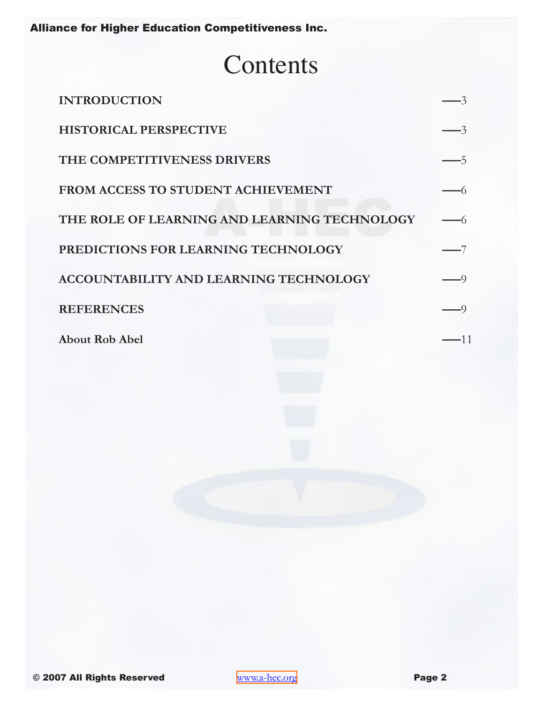# **Contents**

| <b>INTRODUCTION</b>                           |  |
|-----------------------------------------------|--|
| <b>HISTORICAL PERSPECTIVE</b>                 |  |
| THE COMPETITIVENESS DRIVERS                   |  |
| FROM ACCESS TO STUDENT ACHIEVEMENT            |  |
| THE ROLE OF LEARNING AND LEARNING TECHNOLOGY  |  |
| PREDICTIONS FOR LEARNING TECHNOLOGY           |  |
| <b>ACCOUNTABILITY AND LEARNING TECHNOLOGY</b> |  |
| <b>REFERENCES</b>                             |  |
| <b>About Rob Abel</b>                         |  |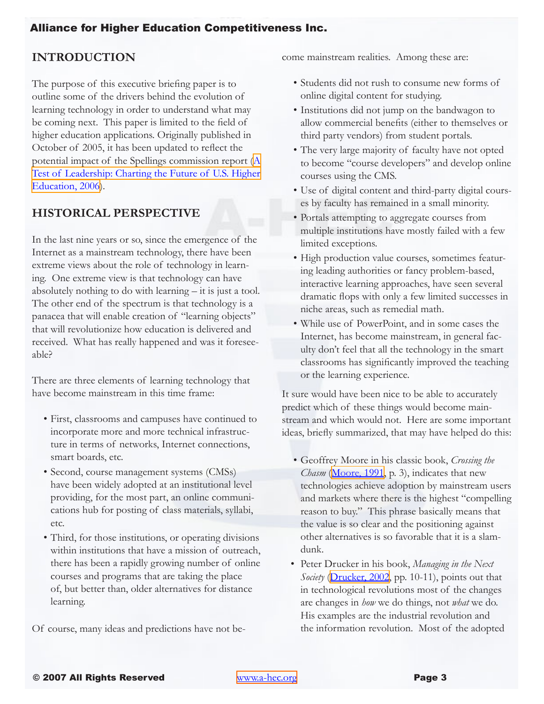# <span id="page-2-0"></span>**INTRODUCTION**

The purpose of this executive briefing paper is to outline some of the drivers behind the evolution of learning technology in order to understand what may be coming next. This paper is limited to the field of higher education applications. Originally published in October of 2005, it has been updated to reflect the potential impact of the Spellings commission report [\(A](#page-8-1) [Test of Leadership: Charting the Future of U.S. Higher](#page-8-1)  [Education, 2006](#page-8-1)).

# **HISTORICAL PERSPECTIVE**

In the last nine years or so, since the emergence of the Internet as a mainstream technology, there have been extreme views about the role of technology in learning. One extreme view is that technology can have absolutely nothing to do with learning – it is just a tool. The other end of the spectrum is that technology is a panacea that will enable creation of "learning objects" that will revolutionize how education is delivered and received. What has really happened and was it foreseeable?

There are three elements of learning technology that have become mainstream in this time frame:

- First, classrooms and campuses have continued to incorporate more and more technical infrastructure in terms of networks, Internet connections, smart boards, etc.
- Second, course management systems (CMSs) have been widely adopted at an institutional level providing, for the most part, an online communications hub for posting of class materials, syllabi, etc.
- Third, for those institutions, or operating divisions within institutions that have a mission of outreach, there has been a rapidly growing number of online courses and programs that are taking the place of, but better than, older alternatives for distance learning.

Of course, many ideas and predictions have not be-

come mainstream realities. Among these are:

- Students did not rush to consume new forms of online digital content for studying.
- Institutions did not jump on the bandwagon to allow commercial benefits (either to themselves or third party vendors) from student portals.
- The very large majority of faculty have not opted to become "course developers" and develop online courses using the CMS.
- Use of digital content and third-party digital courses by faculty has remained in a small minority.
- Portals attempting to aggregate courses from multiple institutions have mostly failed with a few limited exceptions.
- High production value courses, sometimes featuring leading authorities or fancy problem-based, interactive learning approaches, have seen several dramatic flops with only a few limited successes in niche areas, such as remedial math.
- While use of PowerPoint, and in some cases the Internet, has become mainstream, in general faculty don't feel that all the technology in the smart classrooms has significantly improved the teaching or the learning experience.

It sure would have been nice to be able to accurately predict which of these things would become mainstream and which would not. Here are some important ideas, briefly summarized, that may have helped do this:

- Geoffrey Moore in his classic book, *Crossing the Chasm* (M[oore, 1991](#page-9-0), p. 3), indicates that new technologies achieve adoption by mainstream users and markets where there is the highest "compelling reason to buy." This phrase basically means that the value is so clear and the positioning against other alternatives is so favorable that it is a slamdunk.
- Peter Drucker in his book, *Managing in the Next Society* ([Drucker, 2002](#page-9-1), pp. 10-11), points out that in technological revolutions most of the changes are changes in *how* we do things, not *what* we do. His examples are the industrial revolution and the information revolution. Most of the adopted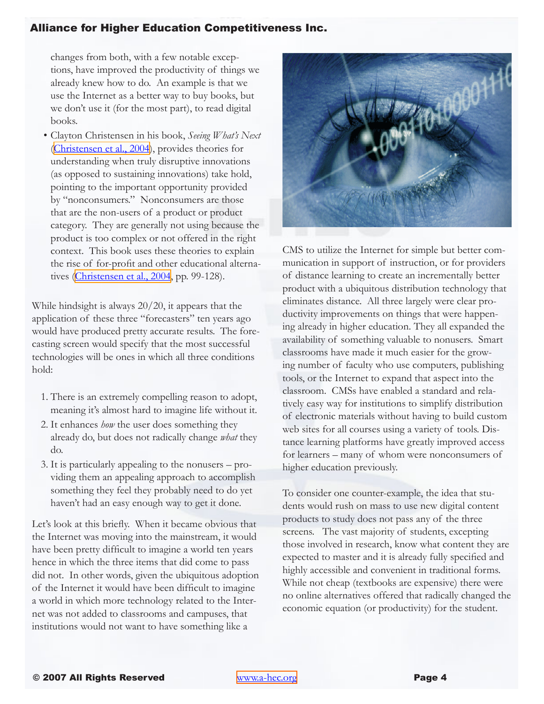changes from both, with a few notable exceptions, have improved the productivity of things we already knew how to do. An example is that we use the Internet as a better way to buy books, but we don't use it (for the most part), to read digital books.

• Clayton Christensen in his book, *Seeing What's Next* [\(Christensen et al., 2004](#page-8-2)), provides theories for understanding when truly disruptive innovations (as opposed to sustaining innovations) take hold, pointing to the important opportunity provided by "nonconsumers." Nonconsumers are those that are the non-users of a product or product category. They are generally not using because the product is too complex or not offered in the right context. This book uses these theories to explain the rise of for-profit and other educational alternatives [\(Christensen et al., 2004](#page-8-2), pp. 99-128).

While hindsight is always 20/20, it appears that the application of these three "forecasters" ten years ago would have produced pretty accurate results. The forecasting screen would specify that the most successful technologies will be ones in which all three conditions hold:

- 1. There is an extremely compelling reason to adopt, meaning it's almost hard to imagine life without it.
- 2. It enhances *how* the user does something they already do, but does not radically change *what* they do.
- 3. It is particularly appealing to the nonusers providing them an appealing approach to accomplish something they feel they probably need to do yet haven't had an easy enough way to get it done.

Let's look at this briefly. When it became obvious that the Internet was moving into the mainstream, it would have been pretty difficult to imagine a world ten years hence in which the three items that did come to pass did not. In other words, given the ubiquitous adoption of the Internet it would have been difficult to imagine a world in which more technology related to the Internet was not added to classrooms and campuses, that institutions would not want to have something like a



CMS to utilize the Internet for simple but better communication in support of instruction, or for providers of distance learning to create an incrementally better product with a ubiquitous distribution technology that eliminates distance. All three largely were clear productivity improvements on things that were happening already in higher education. They all expanded the availability of something valuable to nonusers. Smart classrooms have made it much easier for the growing number of faculty who use computers, publishing tools, or the Internet to expand that aspect into the classroom. CMSs have enabled a standard and relatively easy way for institutions to simplify distribution of electronic materials without having to build custom web sites for all courses using a variety of tools. Distance learning platforms have greatly improved access for learners – many of whom were nonconsumers of higher education previously.

To consider one counter-example, the idea that students would rush on mass to use new digital content products to study does not pass any of the three screens. The vast majority of students, excepting those involved in research, know what content they are expected to master and it is already fully specified and highly accessible and convenient in traditional forms. While not cheap (textbooks are expensive) there were no online alternatives offered that radically changed the economic equation (or productivity) for the student.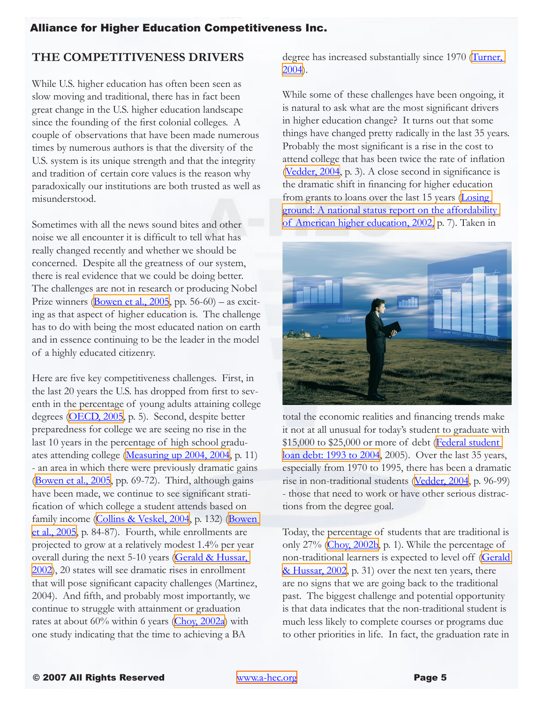# <span id="page-4-0"></span>**THE COMPETITIVENESS DRIVERS**

While U.S. higher education has often been seen as slow moving and traditional, there has in fact been great change in the U.S. higher education landscape since the founding of the first colonial colleges. A couple of observations that have been made numerous times by numerous authors is that the diversity of the U.S. system is its unique strength and that the integrity and tradition of certain core values is the reason why paradoxically our institutions are both trusted as well as misunderstood.

Sometimes with all the news sound bites and other noise we all encounter it is difficult to tell what has really changed recently and whether we should be concerned. Despite all the greatness of our system, there is real evidence that we could be doing better. The challenges are not in research or producing Nobel Prize winners  $\left(\frac{\text{Bowen et al.}, 2005}{\text{Bowen et al.}, 2005}\right)$  – as exciting as that aspect of higher education is. The challenge has to do with being the most educated nation on earth and in essence continuing to be the leader in the model of a highly educated citizenry.

Here are five key competitiveness challenges. First, in the last 20 years the U.S. has dropped from first to seventh in the percentage of young adults attaining college degrees ([OECD, 2005,](#page-9-2) p. 5). Second, despite better preparedness for college we are seeing no rise in the last 10 years in the percentage of high school graduates attending college ([Measuring up 2004, 200](#page-9-3)4, p. 11) - an area in which there were previously dramatic gains [\(Bowen et al., 2005,](#page-8-3) pp. 69-72). Third, although gains have been made, we continue to see significant stratification of which college a student attends based on family income [\(Collins & Veskel, 2004](#page-8-4), p. 132) (Bowen [et al., 2005,](#page-8-3) p. 84-87). Fourth, while enrollments are projected to grow at a relatively modest 1.4% per year overall during the next 5-10 years (Gerald & Hussar, [2002](#page-9-4)), 20 states will see dramatic rises in enrollment that will pose significant capacity challenges (Martinez, 2004). And fifth, and probably most importantly, we continue to struggle with attainment or graduation rates at about 60% within 6 years [\(Choy, 2002a](#page-8-5)) with one study indicating that the time to achieving a BA

degree has increased substantially since 1970 (Turner, [2004](#page-9-5)).

While some of these challenges have been ongoing, it is natural to ask what are the most significant drivers in higher education change? It turns out that some things have changed pretty radically in the last 35 years. Probably the most significant is a rise in the cost to attend college that has been twice the rate of inflation [\(Vedder, 2004](#page-9-6), p. 3). A close second in significance is the dramatic shift in financing for higher education from grants to loans over the last 15 years [\(Losing](#page-9-7)  [ground: A national status report on the affordability](#page-9-7)  [of American higher education, 2002,](#page-9-7) p. 7). Taken in



total the economic realities and financing trends make it not at all unusual for today's student to graduate with \$15,000 to \$25,000 or more of debt (Federal student [loan debt: 1993 to 2004,](#page-9-8) 2005). Over the last 35 years, especially from 1970 to 1995, there has been a dramatic rise in non-traditional students ([Vedder, 2004,](#page-9-6) p. 96-99) - those that need to work or have other serious distractions from the degree goal.

Today, the percentage of students that are traditional is only 27% ([Choy, 2002b,](#page-8-6) p. 1). While the percentage of non-traditional learners is expected to level off ([Gerald](#page-9-4)  [& Hussar, 2002](#page-9-4), p. 31) over the next ten years, there are no signs that we are going back to the traditional past. The biggest challenge and potential opportunity is that data indicates that the non-traditional student is much less likely to complete courses or programs due to other priorities in life. In fact, the graduation rate in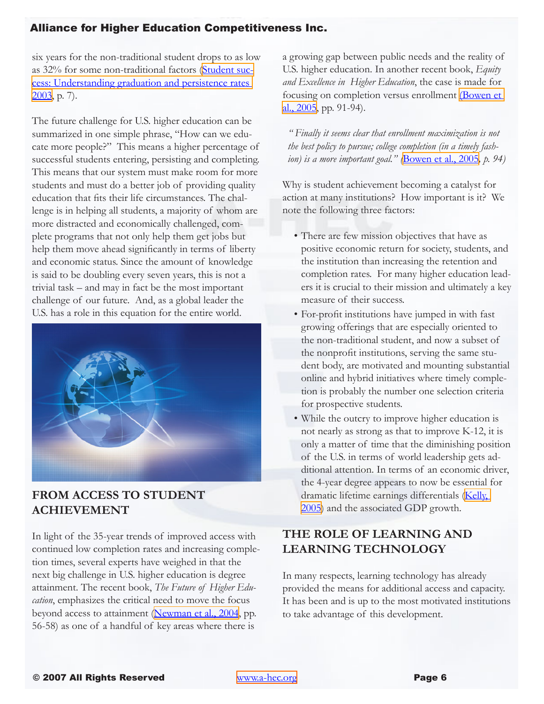<span id="page-5-0"></span>six years for the non-traditional student drops to as low as 32% for some non-traditional factors ([Student suc](#page-9-9)[cess: Understanding graduation and persistence rates](#page-9-9)  [2003](#page-9-9), p. 7).

The future challenge for U.S. higher education can be summarized in one simple phrase, "How can we educate more people?" This means a higher percentage of successful students entering, persisting and completing. This means that our system must make room for more students and must do a better job of providing quality education that fits their life circumstances. The challenge is in helping all students, a majority of whom are more distracted and economically challenged, complete programs that not only help them get jobs but help them move ahead significantly in terms of liberty and economic status. Since the amount of knowledge is said to be doubling every seven years, this is not a trivial task – and may in fact be the most important challenge of our future. And, as a global leader the U.S. has a role in this equation for the entire world.



### **FROM ACCESS TO STUDENT ACHIEVEMENT**

In light of the 35-year trends of improved access with continued low completion rates and increasing completion times, several experts have weighed in that the next big challenge in U.S. higher education is degree attainment. The recent book, *The Future of Higher Education*, emphasizes the critical need to move the focus beyond access to attainment [\(Newman et al., 2004,](#page-9-11) pp. 56-58) as one of a handful of key areas where there is

a growing gap between public needs and the reality of U.S. higher education. In another recent book, *Equity and Excellence in Higher Education*, the case is made for focusing on completion versus enrollment [\(Bowen et](#page-8-3)   $al., 2005, pp. 91-94$  $al., 2005, pp. 91-94$ .

*" Finally it seems clear that enrollment maximization is not the best policy to pursue; college completion (in a timely fashion) is a more important goal." (*[Bowen et al., 2005](#page-8-3)*, p. 94)*

Why is student achievement becoming a catalyst for action at many institutions? How important is it? We note the following three factors:

- There are few mission objectives that have as positive economic return for society, students, and the institution than increasing the retention and completion rates. For many higher education leaders it is crucial to their mission and ultimately a key measure of their success.
- For-profit institutions have jumped in with fast growing offerings that are especially oriented to the non-traditional student, and now a subset of the nonprofit institutions, serving the same student body, are motivated and mounting substantial online and hybrid initiatives where timely completion is probably the number one selection criteria for prospective students.
- While the outcry to improve higher education is not nearly as strong as that to improve K-12, it is only a matter of time that the diminishing position of the U.S. in terms of world leadership gets additional attention. In terms of an economic driver, the 4-year degree appears to now be essential for dramatic lifetime earnings differentials (Kelly, [2005](#page-9-10)) and the associated GDP growth.

# **THE ROLE OF LEARNING AND LEARNING TECHNOLOGY**

In many respects, learning technology has already provided the means for additional access and capacity. It has been and is up to the most motivated institutions to take advantage of this development.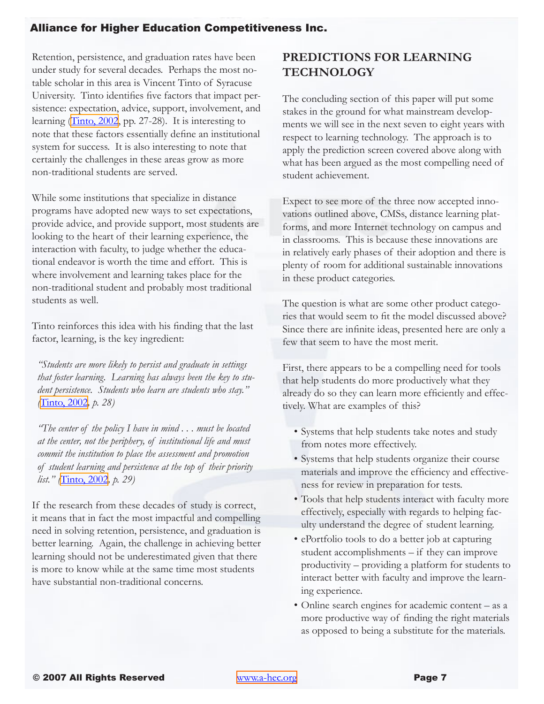<span id="page-6-0"></span>Retention, persistence, and graduation rates have been under study for several decades. Perhaps the most notable scholar in this area is Vincent Tinto of Syracuse University. Tinto identifies five factors that impact persistence: expectation, advice, support, involvement, and learning ([Tinto, 2002](#page-9-12), pp. 27-28). It is interesting to note that these factors essentially define an institutional system for success. It is also interesting to note that certainly the challenges in these areas grow as more non-traditional students are served.

While some institutions that specialize in distance programs have adopted new ways to set expectations, provide advice, and provide support, most students are looking to the heart of their learning experience, the interaction with faculty, to judge whether the educational endeavor is worth the time and effort. This is where involvement and learning takes place for the non-traditional student and probably most traditional students as well.

Tinto reinforces this idea with his finding that the last factor, learning, is the key ingredient:

*"Students are more likely to persist and graduate in settings that foster learning. Learning has always been the key to student persistence. Students who learn are students who stay." (*[Tinto, 2002](#page-9-12)*, p. 28)*

*"The center of the policy I have in mind . . . must be located at the center, not the periphery, of institutional life and must commit the institution to place the assessment and promotion of student learning and persistence at the top of their priority list." (*[Tinto, 2002](#page-9-12)*, p. 29)*

If the research from these decades of study is correct, it means that in fact the most impactful and compelling need in solving retention, persistence, and graduation is better learning. Again, the challenge in achieving better learning should not be underestimated given that there is more to know while at the same time most students have substantial non-traditional concerns.

# **PREDICTIONS FOR LEARNING TECHNOLOGY**

The concluding section of this paper will put some stakes in the ground for what mainstream developments we will see in the next seven to eight years with respect to learning technology. The approach is to apply the prediction screen covered above along with what has been argued as the most compelling need of student achievement.

Expect to see more of the three now accepted innovations outlined above, CMSs, distance learning platforms, and more Internet technology on campus and in classrooms. This is because these innovations are in relatively early phases of their adoption and there is plenty of room for additional sustainable innovations in these product categories.

The question is what are some other product categories that would seem to fit the model discussed above? Since there are infinite ideas, presented here are only a few that seem to have the most merit.

First, there appears to be a compelling need for tools that help students do more productively what they already do so they can learn more efficiently and effectively. What are examples of this?

- Systems that help students take notes and study from notes more effectively.
- Systems that help students organize their course materials and improve the efficiency and effectiveness for review in preparation for tests.
- Tools that help students interact with faculty more effectively, especially with regards to helping faculty understand the degree of student learning.
- ePortfolio tools to do a better job at capturing student accomplishments – if they can improve productivity – providing a platform for students to interact better with faculty and improve the learning experience.
- Online search engines for academic content as a more productive way of finding the right materials as opposed to being a substitute for the materials.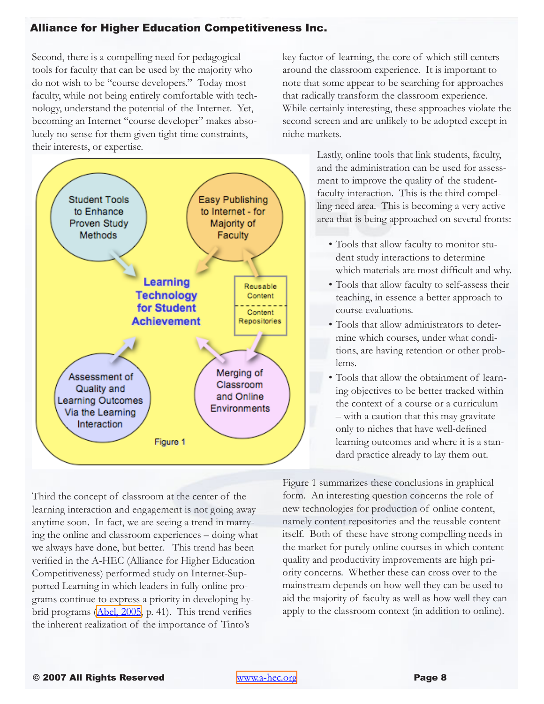Second, there is a compelling need for pedagogical tools for faculty that can be used by the majority who do not wish to be "course developers." Today most faculty, while not being entirely comfortable with technology, understand the potential of the Internet. Yet, becoming an Internet "course developer" makes absolutely no sense for them given tight time constraints, their interests, or expertise.



Third the concept of classroom at the center of the learning interaction and engagement is not going away anytime soon. In fact, we are seeing a trend in marrying the online and classroom experiences – doing what we always have done, but better. This trend has been verified in the A-HEC (Alliance for Higher Education Competitiveness) performed study on Internet-Supported Learning in which leaders in fully online programs continue to express a priority in developing hybrid programs (Abel, 2005, p. 41). This trend verifies the inherent realization of the importance of Tinto's

key factor of learning, the core of which still centers around the classroom experience. It is important to note that some appear to be searching for approaches that radically transform the classroom experience. While certainly interesting, these approaches violate the second screen and are unlikely to be adopted except in niche markets.

> Lastly, online tools that link students, faculty, and the administration can be used for assessment to improve the quality of the studentfaculty interaction. This is the third compelling need area. This is becoming a very active area that is being approached on several fronts:

- Tools that allow faculty to monitor student study interactions to determine which materials are most difficult and why.
- Tools that allow faculty to self-assess their teaching, in essence a better approach to course evaluations.
- Tools that allow administrators to determine which courses, under what conditions, are having retention or other problems.
- Tools that allow the obtainment of learning objectives to be better tracked within the context of a course or a curriculum – with a caution that this may gravitate only to niches that have well-defined learning outcomes and where it is a standard practice already to lay them out.

Figure 1 summarizes these conclusions in graphical form. An interesting question concerns the role of new technologies for production of online content, namely content repositories and the reusable content itself. Both of these have strong compelling needs in the market for purely online courses in which content quality and productivity improvements are high priority concerns. Whether these can cross over to the mainstream depends on how well they can be used to aid the majority of faculty as well as how well they can apply to the classroom context (in addition to online).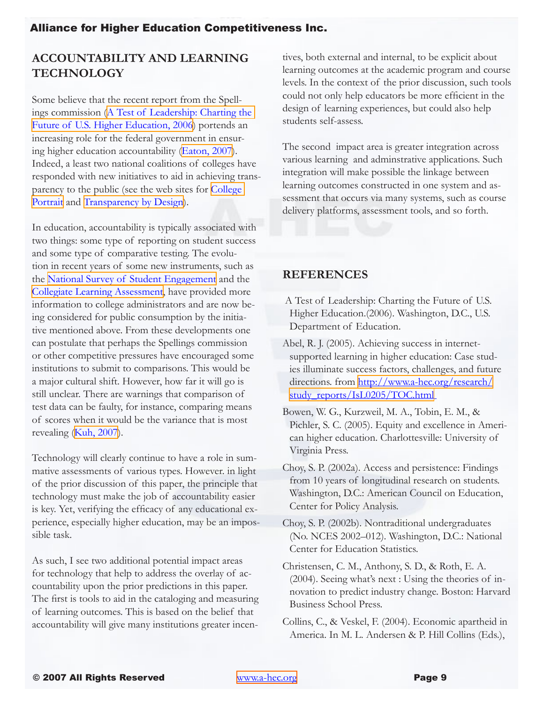# <span id="page-8-0"></span>**ACCOUNTABILITY AND LEARNING TECHNOLOGY**

Some believe that the recent report from the Spellings commission [\(A Test of Leadership: Charting the](#page-8-1)  [Future of U.S. Higher Education, 2006](#page-8-1)) portends an increasing role for the federal government in ensuring higher education accountability ([Eaton, 2007](#page-9-13)). Indeed, a least two national coalitions of colleges have responded with new initiatives to aid in achieving transparency to the public (see the web sites for [College]( http://www.voluntarysystem.org/about_cp/index.htm)  [Portrai]( http://www.voluntarysystem.org/about_cp/index.htm)t and [Transparency by Design]( http://www.capellaeducation.com/news/news/10-22-07_transparency.aspx)).

In education, accountability is typically associated with two things: some type of reporting on student success and some type of comparative testing. The evolution in recent years of some new instruments, such as the [National Survey of Student Engagement]( http://nsse.iub.edu/index.cfm) and the [Collegiate Learning Assessment,]( http://www.cic.edu/projects_services/coops/cla.asp) have provided more information to college administrators and are now being considered for public consumption by the initiative mentioned above. From these developments one can postulate that perhaps the Spellings commission or other competitive pressures have encouraged some institutions to submit to comparisons. This would be a major cultural shift. However, how far it will go is still unclear. There are warnings that comparison of test data can be faulty, for instance, comparing means of scores when it would be the variance that is most revealing ([Kuh, 2007\)](#page-9-7).

Technology will clearly continue to have a role in summative assessments of various types. However. in light of the prior discussion of this paper, the principle that technology must make the job of accountability easier is key. Yet, verifying the efficacy of any educational experience, especially higher education, may be an impossible task.

As such, I see two additional potential impact areas for technology that help to address the overlay of accountability upon the prior predictions in this paper. The first is tools to aid in the cataloging and measuring of learning outcomes. This is based on the belief that accountability will give many institutions greater incentives, both external and internal, to be explicit about learning outcomes at the academic program and course levels. In the context of the prior discussion, such tools could not only help educators be more efficient in the design of learning experiences, but could also help students self-assess.

The second impact area is greater integration across various learning and adminstrative applications. Such integration will make possible the linkage between learning outcomes constructed in one system and assessment that occurs via many systems, such as course delivery platforms, assessment tools, and so forth.

### **REFERENCES**

- <span id="page-8-1"></span>A Test of Leadership: Charting the Future of U.S. Higher Education.(2006). Washington, D.C., U.S. Department of Education.
- Abel, R. J. (2005). Achieving success in internetsupported learning in higher education: Case studies illuminate success factors, challenges, and future directions. from [http://www.a-hec.org/research/](http://www.a-hec.org/research/studyreports/IsL0205/TOC.html) [study\\_reports/IsL0205/TOC.html](http://www.a-hec.org/research/studyreports/IsL0205/TOC.html)
- <span id="page-8-3"></span>Bowen, W. G., Kurzweil, M. A., Tobin, E. M., & Pichler, S. C. (2005). Equity and excellence in American higher education. Charlottesville: University of Virginia Press.
- <span id="page-8-5"></span>Choy, S. P. (2002a). Access and persistence: Findings from 10 years of longitudinal research on students. Washington, D.C.: American Council on Education, Center for Policy Analysis.
- <span id="page-8-6"></span>Choy, S. P. (2002b). Nontraditional undergraduates (No. NCES 2002–012). Washington, D.C.: National Center for Education Statistics.
- <span id="page-8-2"></span>Christensen, C. M., Anthony, S. D., & Roth, E. A. (2004). Seeing what's next : Using the theories of innovation to predict industry change. Boston: Harvard Business School Press.
- <span id="page-8-4"></span>Collins, C., & Veskel, F. (2004). Economic apartheid in America. In M. L. Andersen & P. Hill Collins (Eds.),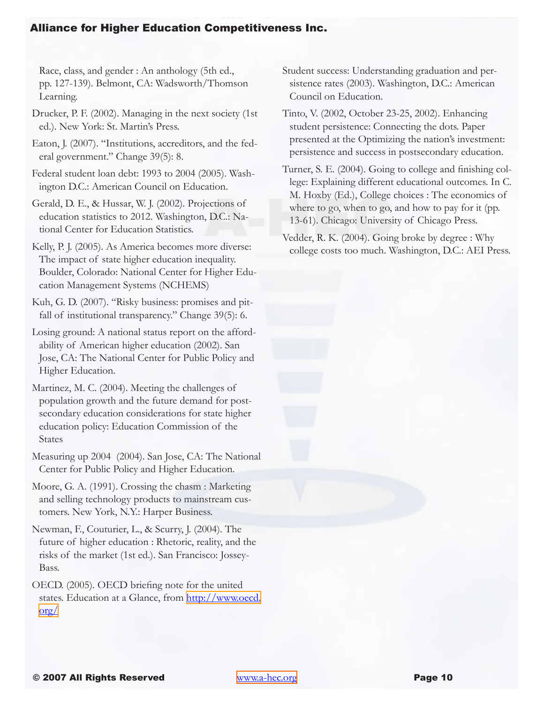Race, class, and gender : An anthology (5th ed., pp. 127-139). Belmont, CA: Wadsworth/Thomson Learning.

<span id="page-9-1"></span>Drucker, P. F. (2002). Managing in the next society (1st ed.). New York: St. Martin's Press.

<span id="page-9-13"></span>Eaton, J. (2007). "Institutions, accreditors, and the federal government." Change 39(5): 8.

<span id="page-9-8"></span>Federal student loan debt: 1993 to 2004 (2005). Washington D.C.: American Council on Education.

<span id="page-9-4"></span>Gerald, D. E., & Hussar, W. J. (2002). Projections of education statistics to 2012. Washington, D.C.: National Center for Education Statistics.

<span id="page-9-10"></span>Kelly, P. J. (2005). As America becomes more diverse: The impact of state higher education inequality. Boulder, Colorado: National Center for Higher Education Management Systems (NCHEMS)

<span id="page-9-7"></span>Kuh, G. D. (2007). "Risky business: promises and pitfall of institutional transparency." Change 39(5): 6.

Losing ground: A national status report on the affordability of American higher education (2002). San Jose, CA: The National Center for Public Policy and Higher Education.

Martinez, M. C. (2004). Meeting the challenges of population growth and the future demand for postsecondary education considerations for state higher education policy: Education Commission of the States

<span id="page-9-3"></span>Measuring up 2004 (2004). San Jose, CA: The National Center for Public Policy and Higher Education.

<span id="page-9-0"></span>Moore, G. A. (1991). Crossing the chasm : Marketing and selling technology products to mainstream customers. New York, N.Y.: Harper Business.

<span id="page-9-11"></span>Newman, F., Couturier, L., & Scurry, J. (2004). The future of higher education : Rhetoric, reality, and the risks of the market (1st ed.). San Francisco: Jossey-Bass.

<span id="page-9-2"></span>OECD. (2005). OECD briefing note for the united states. Education at a Glance, from [http://www.oecd.](http://www.oecd.org/) [org/](http://www.oecd.org/)

<span id="page-9-9"></span>Student success: Understanding graduation and persistence rates (2003). Washington, D.C.: American Council on Education.

<span id="page-9-12"></span>Tinto, V. (2002, October 23-25, 2002). Enhancing student persistence: Connecting the dots. Paper presented at the Optimizing the nation's investment: persistence and success in postsecondary education.

<span id="page-9-5"></span>Turner, S. E. (2004). Going to college and finishing college: Explaining different educational outcomes. In C. M. Hoxby (Ed.), College choices : The economics of where to go, when to go, and how to pay for it (pp. 13-61). Chicago: University of Chicago Press.

<span id="page-9-6"></span>Vedder, R. K. (2004). Going broke by degree : Why college costs too much. Washington, D.C.: AEI Press.